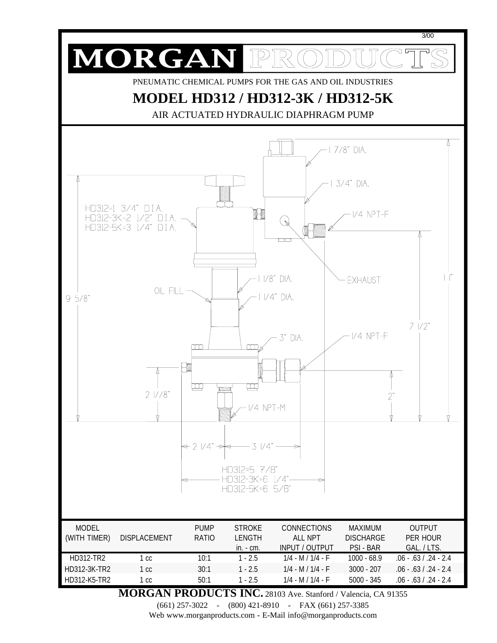

**MORGAN PRODUCTS INC.** 28103 Ave. Stanford / Valencia, CA 91355

(661) 257-3022 - (800) 421-8910 - FAX (661) 257-3385

Web www.morganproducts.com - E-Mail info@morganproducts.com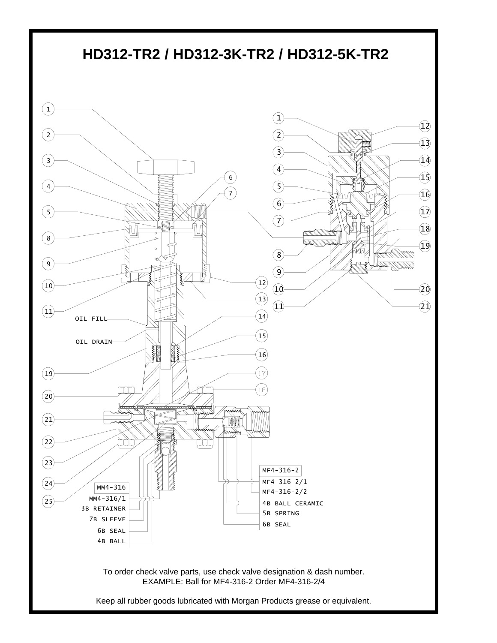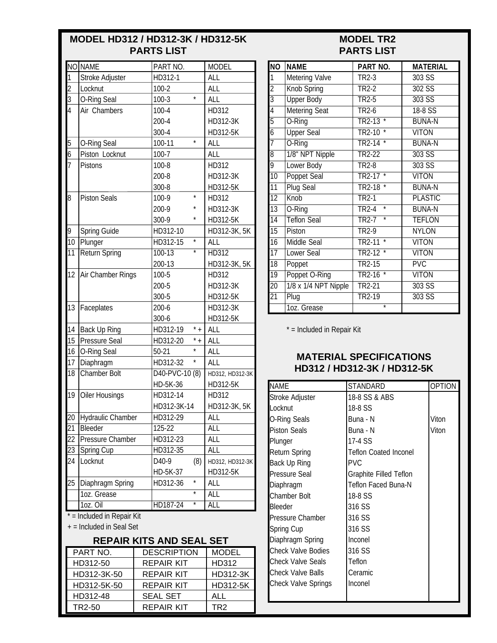# **MODEL HD312 / HD312-3K / HD312-5K PARTS LIST**

# **MODEL TR2 PARTS LIST**

|                 | NO NAME                    | PART NO.                        | <b>MODEL</b>    |
|-----------------|----------------------------|---------------------------------|-----------------|
| 1               | Stroke Adjuster            | HD312-1                         | ALL             |
| $\overline{c}$  | Locknut                    | $100 - 2$                       | ALL             |
| 3               | O-Ring Seal                | $100-3$                         | ALL             |
| 4               | Air Chambers               | $100 - 4$                       | HD312           |
|                 |                            | $200 - 4$                       | HD312-3K        |
|                 |                            | 300-4                           | HD312-5K        |
| 5               | <b>O-Ring Seal</b>         | $\star$<br>100-11               | ALL             |
| 6               | Piston Locknut             | $100 - 7$                       | <b>ALL</b>      |
| 7               | <b>Pistons</b>             | 100-8                           | HD312           |
|                 |                            | 200-8                           | HD312-3K        |
|                 |                            | 300-8                           | HD312-5K        |
| 8               | <b>Piston Seals</b>        | $\star$<br>100-9                | HD312           |
|                 |                            | $\star$<br>200-9                | HD312-3K        |
|                 |                            | $\star$<br>300-9                | HD312-5K        |
| 9               | <b>Spring Guide</b>        | HD312-10                        | HD312-3K, 5K    |
| $\overline{10}$ | Plunger                    | $\star$<br>HD312-15             | <b>ALL</b>      |
| 11              | <b>Return Spring</b>       | $\overline{\ast}$<br>$100 - 13$ | <b>HD312</b>    |
|                 |                            | 200-13                          | HD312-3K, 5K    |
| 12              | Air Chamber Rings          | 100-5                           | HD312           |
|                 |                            | 200-5                           | HD312-3K        |
|                 |                            | 300-5                           | HD312-5K        |
| 13              | Faceplates                 | 200-6                           | HD312-3K        |
|                 |                            | 300-6                           | HD312-5K        |
| 14              | <b>Back Up Ring</b>        | $^\star$ +<br>HD312-19          | ALL             |
| 15              | <b>Pressure Seal</b>       | $^\star$ +<br>HD312-20          | ALL             |
| 16              | O-Ring Seal                | $\star$<br>$50-21$              | ALL             |
| 17              | Diaphragm                  | HD312-32                        | ALL             |
| 18              | Chamber Bolt               | $\overline{D40}$ -PVC-10 $(8)$  | HD312, HD312-3K |
|                 |                            | HD-5K-36                        | HD312-5K        |
| 19              | <b>Oiler Housings</b>      | HD312-14                        | HD312           |
|                 |                            | HD312-3K-14                     | HD312-3K, 5K    |
| 20              | Hydraulic Chamber          | HD312-29                        | ALL             |
| 21              | Bleeder                    | 125-22                          | ALL             |
| 22              | Pressure Chamber           | HD312-23                        | ALL             |
| 23              | Spring Cup                 | HD312-35                        | ALL             |
| 24              | Locknut                    | D40-9<br>(8)                    | HD312, HD312-3K |
|                 |                            | HD-5K-37                        | HD312-5K        |
| 25              | Diaphragm Spring           | $\star$<br>HD312-36             | ALL             |
|                 | 1oz. Grease                | $\star$                         | ALL             |
|                 | $10z.$ Oil                 | $\star$<br>HD187-24             | <b>ALL</b>      |
|                 | * = Included in Repair Kit |                                 |                 |

+ = Included in Seal Set

#### **REPAIR KITS AND SEAL SET**

| PART NO.    | <b>DESCRIPTION</b> | <b>MODEL</b> |
|-------------|--------------------|--------------|
| HD312-50    | <b>REPAIR KIT</b>  | HD312        |
| HD312-3K-50 | <b>REPAIR KIT</b>  | HD312-3K     |
| HD312-5K-50 | <b>REPAIR KIT</b>  | HD312-5K     |
| HD312-48    | <b>SEAL SET</b>    | ALL          |
| TR2-50      | <b>REPAIR KIT</b>  | TR2          |

| $\overline{NO}$ | <b>NAME</b>           | PART NO.                      | <b>MATERIAL</b> |
|-----------------|-----------------------|-------------------------------|-----------------|
| 1               | <b>Metering Valve</b> | TR2-3                         | 303 SS          |
| $\overline{2}$  | <b>Knob Spring</b>    | TR2-2                         | 302 SS          |
| $\overline{3}$  | <b>Upper Body</b>     | TR <sub>2-5</sub>             | $303$ SS        |
| 4               | <b>Metering Seat</b>  | <b>TR2-6</b>                  | 18-8 SS         |
| 5               | O-Ring                | TR2-13                        | <b>BUNA-N</b>   |
| 6               | <b>Upper Seal</b>     | TR2-10                        | <b>VITON</b>    |
| 7               | O-Ring                | $TR2-14$<br>$\star$           | <b>BUNA-N</b>   |
| $\overline{8}$  | 1/8" NPT Nipple       | TR2-22                        | $303$ SS        |
| 9               | Lower Body            | <b>TR2-8</b>                  | 303 SS          |
| $\overline{10}$ | <b>Poppet Seal</b>    | $\overline{\ast}$<br>$TR2-17$ | <b>VITON</b>    |
| $\overline{11}$ | <b>Plug Seal</b>      | TR <sub>2</sub> -18           | <b>BUNA-N</b>   |
| $\overline{12}$ | Knob                  | TR <sub>2-1</sub>             | PI ASTIC        |
| $\overline{13}$ | O-Ring                | ∗<br>TR <sub>2</sub> -4       | <b>BUNA-N</b>   |
| $\overline{14}$ | <b>Teflon Seal</b>    | $\overline{\ast}$<br>$TR2-7$  | <b>TEFLON</b>   |
| $\overline{15}$ | Piston                | <b>TR2-9</b>                  | <b>NYLON</b>    |
| $\overline{16}$ | <b>Middle Seal</b>    | $\star$<br>TR2-11             | <b>VITON</b>    |
| $\overline{17}$ | <b>Lower Seal</b>     | $\star$<br>TR2-12             | <b>VITON</b>    |
| 18              | Poppet                | TR <sub>2</sub> -15           | PVC             |
| $\overline{19}$ | Poppet O-Ring         | TR2-16<br>$\star$             | <b>VITON</b>    |
| $\overline{20}$ | 1/8 x 1/4 NPT Nipple  | TR2-21                        | 303 SS          |
| $\overline{21}$ | Plug                  | TR2-19                        | 303 SS          |
|                 | 1oz. Grease           | $^\star$                      |                 |

\* = Included in Repair Kit

### **MATERIAL SPECIFICATIONS HD312 / HD312-3K / HD312-5K**

| <b>NAME</b>                | <b>STANDARD</b>              | <b>OPTION</b> |
|----------------------------|------------------------------|---------------|
| Stroke Adjuster            | 18-8 SS & ABS                |               |
| Locknut                    | 18-8 SS                      |               |
| <b>O-Ring Seals</b>        | Buna - N                     | Viton         |
| <b>Piston Seals</b>        | Buna - N                     | Viton         |
| Plunger                    | 17-4 SS                      |               |
| <b>Return Spring</b>       | <b>Teflon Coated Inconel</b> |               |
| <b>Back Up Ring</b>        | <b>PVC</b>                   |               |
| <b>Pressure Seal</b>       | Graphite Filled Teflon       |               |
| Diaphragm                  | Teflon Faced Buna-N          |               |
| <b>Chamber Bolt</b>        | 18-8 SS                      |               |
| <b>Bleeder</b>             | 316 SS                       |               |
| <b>Pressure Chamber</b>    | 316 SS                       |               |
| Spring Cup                 | 316 SS                       |               |
| Diaphragm Spring           | Inconel                      |               |
| <b>Check Valve Bodies</b>  | 316 SS                       |               |
| <b>Check Valve Seals</b>   | Teflon                       |               |
| <b>Check Valve Balls</b>   | Ceramic                      |               |
| <b>Check Valve Springs</b> | Inconel                      |               |
|                            |                              |               |